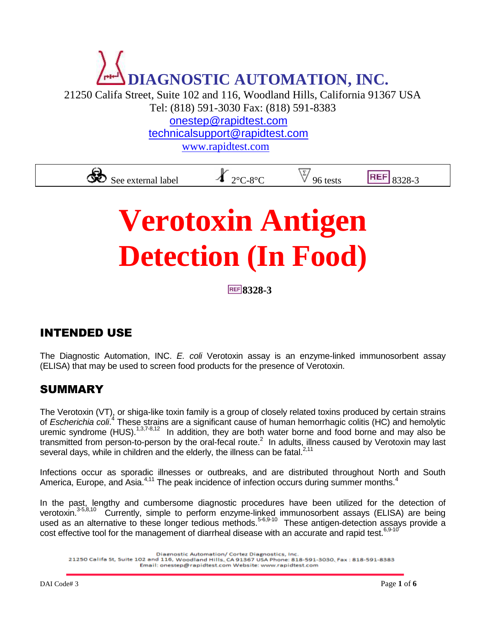# **DIAGNOSTIC AUTOMATION, INC.**

21250 Califa Street, Suite 102 and 116, Woodland Hills, California 91367 USA

Tel: (818) 591-3030 Fax: (818) 591-8383

[onestep@rapidtest.com](mailto:onestep@rapidtest.com)

[technicalsupport@rapidtest.com](mailto:technicalsupport@rapidtest.com)

[www.rapidtest.com](http://www.rapidtest.com/)

See external label  $X_{2^{\circ}C-8^{\circ}C}$   $\vee$  96 tests REF 8328-3

## **Verotoxin Antigen Detection (In Food)**

**8328-3**

#### INTENDED USE

The Diagnostic Automation, INC. *E. coli* Verotoxin assay is an enzyme-linked immunosorbent assay (ELISA) that may be used to screen food products for the presence of Verotoxin.

#### SUMMARY

The Verotoxin (VT), or shiga-like toxin family is a group of closely related toxins produced by certain strains of *Escherichia coli*. 4 These strains are a significant cause of human hemorrhagic colitis (HC) and hemolytic uremic syndrome (HUS).<sup>1,3,7-8,12</sup> In addition, they are both water borne and food borne and may also be transmitted from person-to-person by the oral-fecal route.<sup>2</sup> In adults, illness caused by Verotoxin may last several days, while in children and the elderly, the illness can be fatal.<sup>2,11</sup>

Infections occur as sporadic illnesses or outbreaks, and are distributed throughout North and South America, Europe, and Asia. $4,11$  The peak incidence of infection occurs during summer months.<sup>4</sup>

In the past, lengthy and cumbersome diagnostic procedures have been utilized for the detection of verotoxin.<sup>3-5,8,10</sup> Currently, simple to perform enzyme-linked immunosorbent assays (ELISA) are being used as an alternative to these longer tedious methods.<sup>5-6,9-10</sup> These antigen-detection assays provide a cost effective tool for the management of diarrheal disease with an accurate and rapid test.<sup>6,9-10</sup>

21250 Califa St, Suite 102 and 116, Woodland Hills, CA 91367 USA Phone: 818-591-3030, Fax : 818-591-8383 Email: onestep@rapidtest.com Website: www.rapidtest.com

Diagnostic Automation/ Cortez Diagnostics, Inc.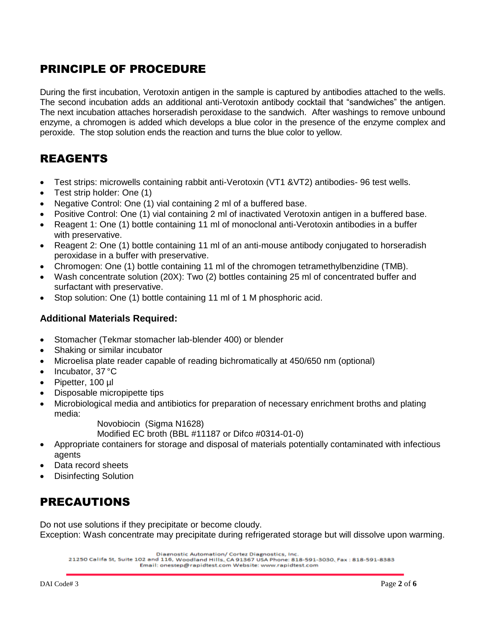#### PRINCIPLE OF PROCEDURE

During the first incubation, Verotoxin antigen in the sample is captured by antibodies attached to the wells. The second incubation adds an additional anti-Verotoxin antibody cocktail that "sandwiches" the antigen. The next incubation attaches horseradish peroxidase to the sandwich. After washings to remove unbound enzyme, a chromogen is added which develops a blue color in the presence of the enzyme complex and peroxide. The stop solution ends the reaction and turns the blue color to yellow.

#### REAGENTS

- Test strips: microwells containing rabbit anti-Verotoxin (VT1 &VT2) antibodies- 96 test wells.
- Test strip holder: One (1)
- Negative Control: One (1) vial containing 2 ml of a buffered base.
- Positive Control: One (1) vial containing 2 ml of inactivated Verotoxin antigen in a buffered base.
- Reagent 1: One (1) bottle containing 11 ml of monoclonal anti-Verotoxin antibodies in a buffer with preservative.
- Reagent 2: One (1) bottle containing 11 ml of an anti-mouse antibody conjugated to horseradish peroxidase in a buffer with preservative.
- Chromogen: One (1) bottle containing 11 ml of the chromogen tetramethylbenzidine (TMB).
- Wash concentrate solution (20X): Two (2) bottles containing 25 ml of concentrated buffer and surfactant with preservative.
- Stop solution: One (1) bottle containing 11 ml of 1 M phosphoric acid.

#### **Additional Materials Required:**

- Stomacher (Tekmar stomacher lab-blender 400) or blender
- Shaking or similar incubator
- Microelisa plate reader capable of reading bichromatically at 450/650 nm (optional)
- Incubator, 37 °C
- Pipetter, 100 µl
- Disposable micropipette tips
- Microbiological media and antibiotics for preparation of necessary enrichment broths and plating media:

Novobiocin (Sigma N1628)

Modified EC broth (BBL #11187 or Difco #0314-01-0)

- Appropriate containers for storage and disposal of materials potentially contaminated with infectious agents
- Data record sheets
- Disinfecting Solution

#### PRECAUTIONS

Do not use solutions if they precipitate or become cloudy. Exception: Wash concentrate may precipitate during refrigerated storage but will dissolve upon warming.

Diagnostic Automation/ Cortez Diagnostics, Inc.

21250 Califa St, Suite 102 and 116, Woodland Hills, CA 91367 USA Phone: 818-591-3030, Fax : 818-591-8383 Email: onestep@rapidtest.com Website: www.rapidtest.com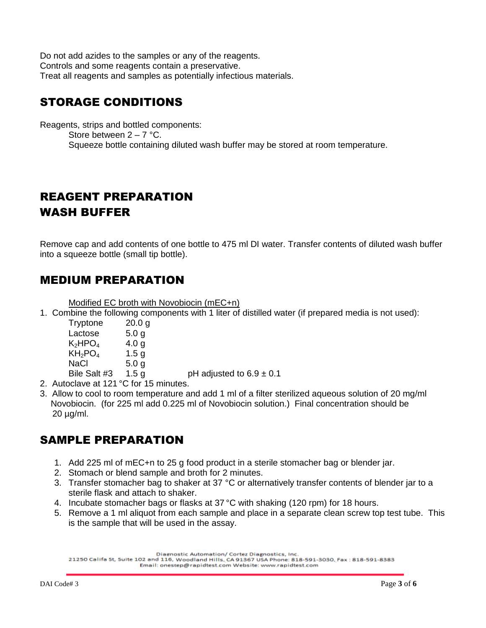Do not add azides to the samples or any of the reagents. Controls and some reagents contain a preservative. Treat all reagents and samples as potentially infectious materials.

#### STORAGE CONDITIONS

Reagents, strips and bottled components: Store between  $2 - 7$  °C. Squeeze bottle containing diluted wash buffer may be stored at room temperature.

#### REAGENT PREPARATION WASH BUFFER

Remove cap and add contents of one bottle to 475 ml DI water. Transfer contents of diluted wash buffer into a squeeze bottle (small tip bottle).

#### MEDIUM PREPARATION

Modified EC broth with Novobiocin (mEC+n)

1. Combine the following components with 1 liter of distilled water (if prepared media is not used):

| Tryptone                     | 20.0 g           |
|------------------------------|------------------|
| Lactose                      | 5.0 <sub>g</sub> |
| $\mathsf{K}_2\mathsf{HPO}_4$ | 4.0 g            |
| $KH_2PO_4$                   | 1.5 <sub>g</sub> |
| NaCl                         | 5.0 g            |
| Bile Salt #3                 | 1.5 a            |

pH adjusted to  $6.9 \pm 0.1$ 

- 2. Autoclave at 121 °C for 15 minutes.
- 3. Allow to cool to room temperature and add 1 ml of a filter sterilized aqueous solution of 20 mg/ml Novobiocin. (for 225 ml add 0.225 ml of Novobiocin solution.) Final concentration should be 20 µg/ml.

#### SAMPLE PREPARATION

- 1. Add 225 ml of mEC+n to 25 g food product in a sterile stomacher bag or blender jar.
- 2. Stomach or blend sample and broth for 2 minutes.
- 3. Transfer stomacher bag to shaker at 37 °C or alternatively transfer contents of blender jar to a sterile flask and attach to shaker.
- 4. Incubate stomacher bags or flasks at 37 °C with shaking (120 rpm) for 18 hours.
- 5. Remove a 1 ml aliquot from each sample and place in a separate clean screw top test tube. This is the sample that will be used in the assay.

Diagnostic Automation/ Cortez Diagnostics, Inc.

21250 Califa St, Suite 102 and 116, Woodland Hills, CA 91367 USA Phone: 818-591-3030, Fax: 818-591-8383 Email: onestep@rapidtest.com Website: www.rapidtest.com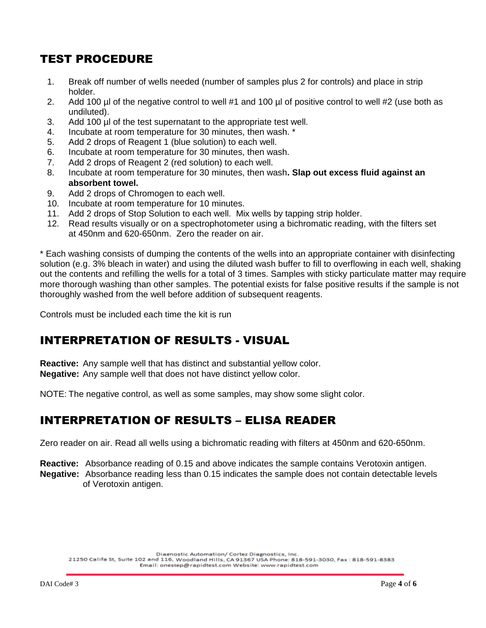#### TEST PROCEDURE

- 1. Break off number of wells needed (number of samples plus 2 for controls) and place in strip holder.
- 2. Add 100 µl of the negative control to well #1 and 100 µl of positive control to well #2 (use both as undiluted).
- 3. Add 100 µl of the test supernatant to the appropriate test well.
- 4. Incubate at room temperature for 30 minutes, then wash. \*
- 5. Add 2 drops of Reagent 1 (blue solution) to each well.
- 6. Incubate at room temperature for 30 minutes, then wash.
- 7. Add 2 drops of Reagent 2 (red solution) to each well.
- 8. Incubate at room temperature for 30 minutes, then wash**. Slap out excess fluid against an absorbent towel.**
- 9. Add 2 drops of Chromogen to each well.
- 10. Incubate at room temperature for 10 minutes.
- 11. Add 2 drops of Stop Solution to each well. Mix wells by tapping strip holder.
- 12. Read results visually or on a spectrophotometer using a bichromatic reading, with the filters set at 450nm and 620-650nm. Zero the reader on air.

\* Each washing consists of dumping the contents of the wells into an appropriate container with disinfecting solution (e.g. 3% bleach in water) and using the diluted wash buffer to fill to overflowing in each well, shaking out the contents and refilling the wells for a total of 3 times. Samples with sticky particulate matter may require more thorough washing than other samples. The potential exists for false positive results if the sample is not thoroughly washed from the well before addition of subsequent reagents.

Controls must be included each time the kit is run

#### INTERPRETATION OF RESULTS - VISUAL

**Reactive:** Any sample well that has distinct and substantial yellow color. **Negative:** Any sample well that does not have distinct yellow color.

NOTE: The negative control, as well as some samples, may show some slight color.

#### INTERPRETATION OF RESULTS – ELISA READER

Zero reader on air. Read all wells using a bichromatic reading with filters at 450nm and 620-650nm.

**Reactive:** Absorbance reading of 0.15 and above indicates the sample contains Verotoxin antigen. **Negative:** Absorbance reading less than 0.15 indicates the sample does not contain detectable levels of Verotoxin antigen.

Diagnostic Automation/ Cortez Diagnostics, Inc.

21250 Califa St, Suite 102 and 116, Woodland Hills, CA 91367 USA Phone: 818-591-3030, Fax : 818-591-8383 Email: onestep@rapidtest.com Website: www.rapidtest.com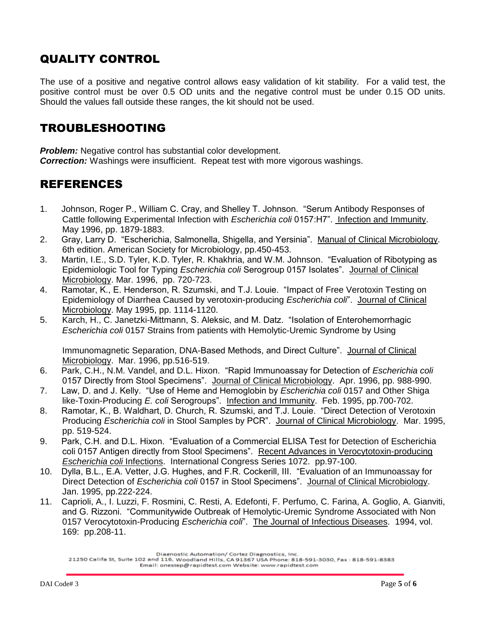#### QUALITY CONTROL

The use of a positive and negative control allows easy validation of kit stability. For a valid test, the positive control must be over 0.5 OD units and the negative control must be under 0.15 OD units. Should the values fall outside these ranges, the kit should not be used.

#### TROUBLESHOOTING

**Problem:** Negative control has substantial color development. *Correction:* Washings were insufficient. Repeat test with more vigorous washings.

#### REFERENCES

- 1. Johnson, Roger P., William C. Cray, and Shelley T. Johnson. "Serum Antibody Responses of Cattle following Experimental Infection with *Escherichia coli* 0157:H7". Infection and Immunity. May 1996, pp. 1879-1883.
- 2. Gray, Larry D. "Escherichia, Salmonella, Shigella, and Yersinia". Manual of Clinical Microbiology. 6th edition. American Society for Microbiology, pp.450-453.
- 3. Martin, I.E., S.D. Tyler, K.D. Tyler, R. Khakhria, and W.M. Johnson. "Evaluation of Ribotyping as Epidemiologic Tool for Typing *Escherichia coli* Serogroup 0157 Isolates". Journal of Clinical Microbiology. Mar. 1996, pp. 720-723.
- 4. Ramotar, K., E. Henderson, R. Szumski, and T.J. Louie. "Impact of Free Verotoxin Testing on Epidemiology of Diarrhea Caused by verotoxin-producing *Escherichia coli*". Journal of Clinical Microbiology. May 1995, pp. 1114-1120.
- 5. Karch, H., C. Janetzki-Mittmann, S. Aleksic, and M. Datz. "Isolation of Enterohemorrhagic *Escherichia coli* 0157 Strains from patients with Hemolytic-Uremic Syndrome by Using

Immunomagnetic Separation, DNA-Based Methods, and Direct Culture". Journal of Clinical Microbiology. Mar. 1996, pp.516-519.

- 6. Park, C.H., N.M. Vandel, and D.L. Hixon. "Rapid Immunoassay for Detection of *Escherichia coli* 0157 Directly from Stool Specimens". Journal of Clinical Microbiology. Apr. 1996, pp. 988-990.
- 7. Law, D. and J. Kelly. "Use of Heme and Hemoglobin by *Escherichia coli* 0157 and Other Shiga like-Toxin-Producing *E. coli* Serogroups". Infection and Immunity. Feb. 1995, pp.700-702.
- 8. Ramotar, K., B. Waldhart, D. Church, R. Szumski, and T.J. Louie. "Direct Detection of Verotoxin Producing *Escherichia coli* in Stool Samples by PCR". Journal of Clinical Microbiology. Mar. 1995, pp. 519-524.
- 9. Park, C.H. and D.L. Hixon. "Evaluation of a Commercial ELISA Test for Detection of Escherichia coli 0157 Antigen directly from Stool Specimens". Recent Advances in Verocytotoxin-producing *Escherichia coli* Infections. International Congress Series 1072. pp.97-100.
- 10. Dylla, B.L., E.A. Vetter, J.G. Hughes, and F.R. Cockerill, III. "Evaluation of an Immunoassay for Direct Detection of *Escherichia coli* 0157 in Stool Specimens". Journal of Clinical Microbiology. Jan. 1995, pp.222-224.
- 11. Caprioli, A., I. Luzzi, F. Rosmini, C. Resti, A. Edefonti, F. Perfumo, C. Farina, A. Goglio, A. Gianviti, and G. Rizzoni. "Communitywide Outbreak of Hemolytic-Uremic Syndrome Associated with Non 0157 Verocytotoxin-Producing *Escherichia coli*". The Journal of Infectious Diseases. 1994, vol. 169: pp.208-11.

Diagnostic Automation/ Cortez Diagnostics, Inc.

<sup>21250</sup> Califa St, Suite 102 and 116, Woodland Hills, CA 91367 USA Phone: 818-591-3030, Fax : 818-591-8383 Email: onestep@rapidtest.com Website: www.rapidtest.com